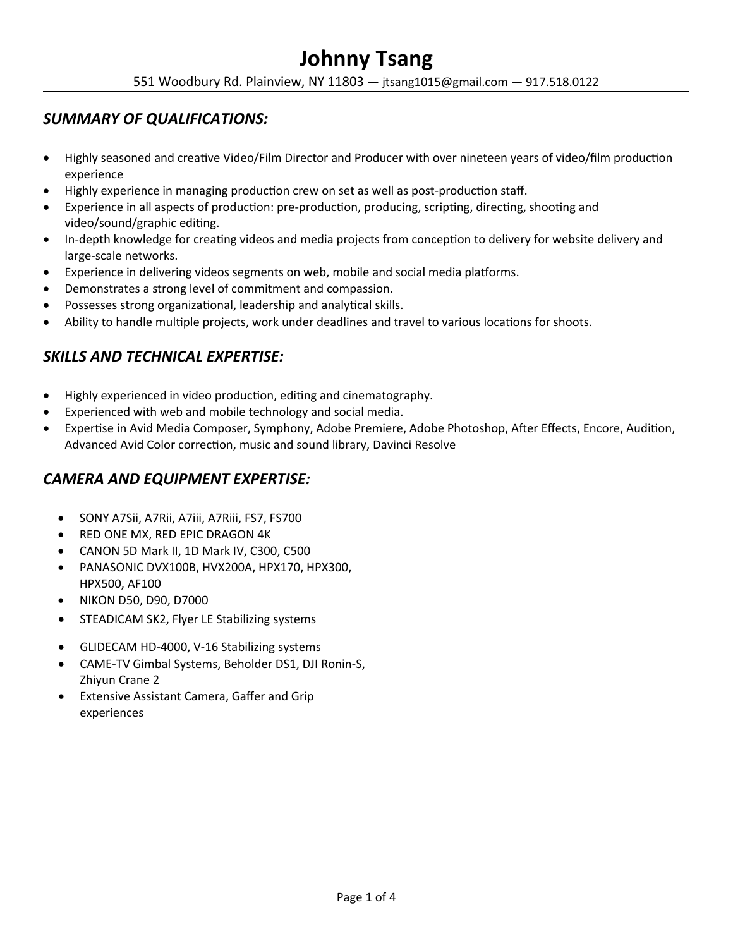551 Woodbury Rd. Plainview, NY 11803 — jtsang1015@gmail.com — 917.518.0122

## *SUMMARY OF QUALIFICATIONS:*

- Highly seasoned and creative Video/Film Director and Producer with over nineteen years of video/film production experience
- Highly experience in managing production crew on set as well as post-production staff.
- Experience in all aspects of production: pre-production, producing, scripting, directing, shooting and video/sound/graphic editing.
- In-depth knowledge for creating videos and media projects from conception to delivery for website delivery and large-scale networks.
- Experience in delivering videos segments on web, mobile and social media platforms.
- Demonstrates a strong level of commitment and compassion.
- Possesses strong organizational, leadership and analytical skills.
- Ability to handle multiple projects, work under deadlines and travel to various locations for shoots.

# *SKILLS AND TECHNICAL EXPERTISE:*

- Highly experienced in video production, editing and cinematography.
- Experienced with web and mobile technology and social media.
- Expertise in Avid Media Composer, Symphony, Adobe Premiere, Adobe Photoshop, After Effects, Encore, Audition, Advanced Avid Color correction, music and sound library, Davinci Resolve

# *CAMERA AND EQUIPMENT EXPERTISE:*

- SONY A7Sii, A7Rii, A7iii, A7Riii, FS7, FS700
- **RED ONE MX, RED EPIC DRAGON 4K**
- CANON 5D Mark II, 1D Mark IV, C300, C500
- PANASONIC DVX100B, HVX200A, HPX170, HPX300, HPX500, AF100
- NIKON D50, D90, D7000
- STEADICAM SK2, Flyer LE Stabilizing systems
- GLIDECAM HD-4000, V-16 Stabilizing systems
- CAME-TV Gimbal Systems, Beholder DS1, DJI Ronin-S, Zhiyun Crane 2
- Extensive Assistant Camera, Gaffer and Grip experiences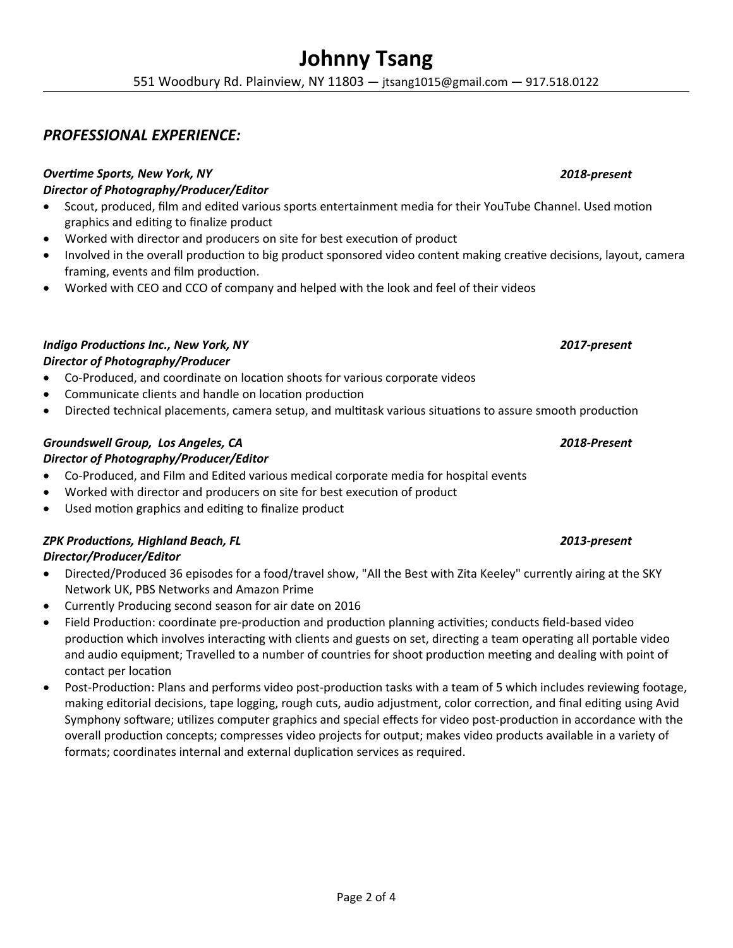551 Woodbury Rd. Plainview, NY 11803 — jtsang1015@gmail.com — 917.518.0122

## *PROFESSIONAL EXPERIENCE:*

#### *Overtime Sports, New York, NY 2018-present Director of Photography/Producer/Editor*

- Scout, produced, film and edited various sports entertainment media for their YouTube Channel. Used motion graphics and editing to finalize product
- Worked with director and producers on site for best execution of product
- Involved in the overall production to big product sponsored video content making creative decisions, layout, camera framing, events and film production.
- Worked with CEO and CCO of company and helped with the look and feel of their videos

### *Indigo Productions Inc., New York, NY 2017-present*

#### *Director of Photography/Producer*

- Co-Produced, and coordinate on location shoots for various corporate videos
- Communicate clients and handle on location production
- Directed technical placements, camera setup, and multitask various situations to assure smooth production

### *Groundswell Group, Los Angeles, CA 2018-Present*

#### *Director of Photography/Producer/Editor*

- Co-Produced, and Film and Edited various medical corporate media for hospital events
- Worked with director and producers on site for best execution of product
- Used motion graphics and editing to finalize product

## *ZPK Productions, Highland Beach, FL 2013-present*

### *Director/Producer/Editor*

- Directed/Produced 36 episodes for a food/travel show, "All the Best with Zita Keeley" currently airing at the SKY Network UK, PBS Networks and Amazon Prime
- Currently Producing second season for air date on 2016
- Field Production: coordinate pre-production and production planning activities; conducts field-based video production which involves interacting with clients and guests on set, directing a team operating all portable video and audio equipment; Travelled to a number of countries for shoot production meeting and dealing with point of contact per location
- Post-Production: Plans and performs video post-production tasks with a team of 5 which includes reviewing footage, making editorial decisions, tape logging, rough cuts, audio adjustment, color correction, and final editing using Avid Symphony software; utilizes computer graphics and special effects for video post-production in accordance with the overall production concepts; compresses video projects for output; makes video products available in a variety of formats; coordinates internal and external duplication services as required.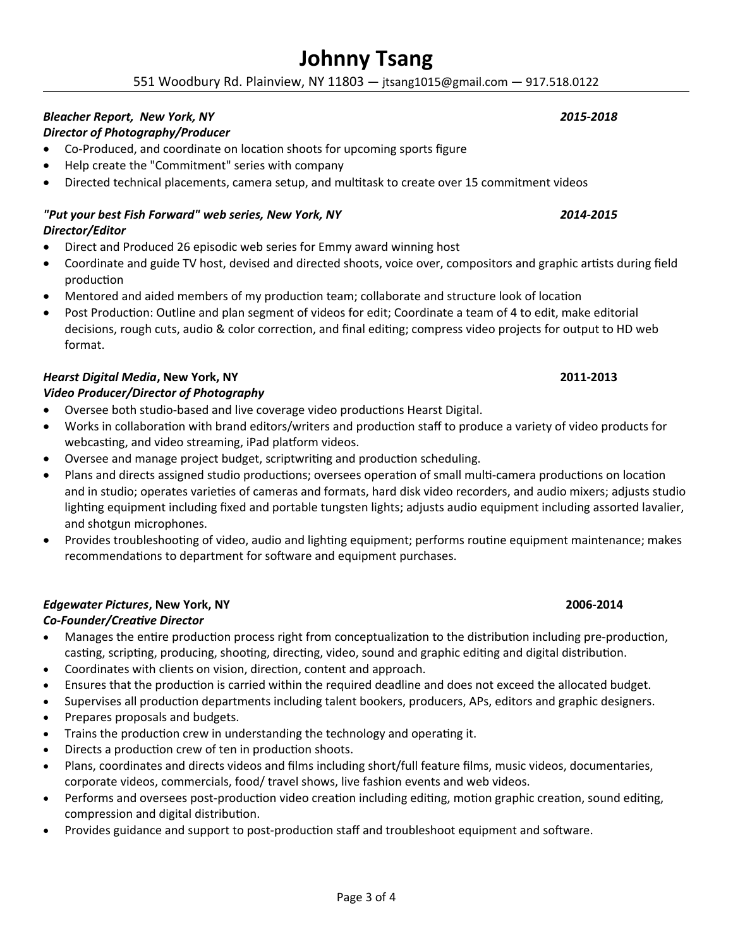551 Woodbury Rd. Plainview, NY 11803 — jtsang1015@gmail.com — 917.518.0122

### *Bleacher Report, New York, NY 2015-2018*

### *Director of Photography/Producer*

- Co-Produced, and coordinate on location shoots for upcoming sports figure
- Help create the "Commitment" series with company
- Directed technical placements, camera setup, and multitask to create over 15 commitment videos

#### *"Put your best Fish Forward" web series, New York, NY 2014-2015 Director/Editor*

- Direct and Produced 26 episodic web series for Emmy award winning host
- Coordinate and guide TV host, devised and directed shoots, voice over, compositors and graphic artists during field production
- Mentored and aided members of my production team; collaborate and structure look of location
- Post Production: Outline and plan segment of videos for edit; Coordinate a team of 4 to edit, make editorial decisions, rough cuts, audio & color correction, and final editing; compress video projects for output to HD web format.

### *Hearst Digital Media***, New York, NY 2011-2013**

#### *Video Producer/Director of Photography*

- Oversee both studio-based and live coverage video productions Hearst Digital.
- Works in collaboration with brand editors/writers and production staff to produce a variety of video products for webcasting, and video streaming, iPad platform videos.
- Oversee and manage project budget, scriptwriting and production scheduling.
- Plans and directs assigned studio productions; oversees operation of small multi-camera productions on location and in studio; operates varieties of cameras and formats, hard disk video recorders, and audio mixers; adjusts studio lighting equipment including fixed and portable tungsten lights; adjusts audio equipment including assorted lavalier, and shotgun microphones.
- Provides troubleshooting of video, audio and lighting equipment; performs routine equipment maintenance; makes recommendations to department for software and equipment purchases.

#### *Edgewater Pictures***, New York, NY**

#### *Co-Founder/Creative Director*

- Manages the entire production process right from conceptualization to the distribution including pre-production, casting, scripting, producing, shooting, directing, video, sound and graphic editing and digital distribution.
- Coordinates with clients on vision, direction, content and approach.
- Ensures that the production is carried within the required deadline and does not exceed the allocated budget.
- Supervises all production departments including talent bookers, producers, APs, editors and graphic designers.
- Prepares proposals and budgets.
- Trains the production crew in understanding the technology and operating it.
- Directs a production crew of ten in production shoots.
- Plans, coordinates and directs videos and films including short/full feature films, music videos, documentaries, corporate videos, commercials, food/ travel shows, live fashion events and web videos.
- Performs and oversees post-production video creation including editing, motion graphic creation, sound editing, compression and digital distribution.
- Provides guidance and support to post-production staff and troubleshoot equipment and software.

 **2006-2014**